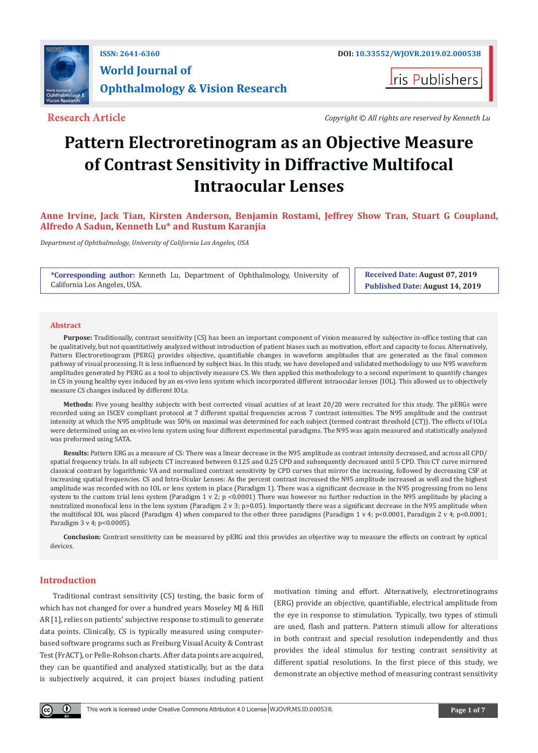

**I**ris Publishers

**Research Article** *Copyright © All rights are reserved by Kenneth Lu*

# **Pattern Electroretinogram as an Objective Measure of Contrast Sensitivity in Diffractive Multifocal Intraocular Lenses**

**Anne Irvine, Jack Tian, Kirsten Anderson, Benjamin Rostami, Jeffrey Show Tran, Stuart G Coupland, Alfredo A Sadun, Kenneth Lu\* and Rustum Karanjia**

*Department of Ophthalmology, University of California Los Angeles, USA*

**\*Corresponding author:** Kenneth Lu, Department of Ophthalmology, University of California Los Angeles, USA.

**Received Date: August 07, 2019 Published Date: August 14, 2019**

#### **Abstract**

**Purpose:** Traditionally, contrast sensitivity (CS) has been an important component of vision measured by subjective in-office testing that can be qualitatively, but not quantitatively analyzed without introduction of patient biases such as motivation, effort and capacity to focus. Alternatively, Pattern Electroretinogram (PERG) provides objective, quantifiable changes in waveform amplitudes that are generated as the final common pathway of visual processing. It is less influenced by subject bias. In this study, we have developed and validated methodology to use N95 waveform amplitudes generated by PERG as a tool to objectively measure CS. We then applied this methodology to a second experiment to quantify changes in CS in young healthy eyes induced by an ex-vivo lens system which incorporated different intraocular lenses (IOL). This allowed us to objectively measure CS changes induced by different IOLs.

**Methods:** Five young healthy subjects with best corrected visual acuities of at least 20/20 were recruited for this study. The pERGs were recorded using an ISCEV compliant protocol at 7 different spatial frequencies across 7 contrast intensities. The N95 amplitude and the contrast intensity at which the N95 amplitude was 50% on maximal was determined for each subject (termed contrast threshold (CT)). The effects of IOLs were determined using an ex-vivo lens system using four different experimental paradigms. The N95 was again measured and statistically analyzed was preformed using SATA.

**Results:** Pattern ERG as a measure of CS: There was a linear decrease in the N95 amplitude as contrast intensity decreased, and across all CPD/ spatial frequency trials. In all subjects CT increased between 0.125 and 0.25 CPD and subsequently decreased until 5 CPD. This CT curve mirrored classical contrast by logarithmic VA and normalized contrast sensitivity by CPD curves that mirror the increasing, followed by decreasing CSF at increasing spatial frequencies. CS and Intra-Ocular Lenses: As the percent contrast increased the N95 amplitude increased as well and the highest amplitude was recorded with no IOL or lens system in place (Paradigm 1). There was a significant decrease in the N95 progressing from no lens system to the custom trial lens system (Paradigm 1 v 2; p <0.0001) There was however no further reduction in the N95 amplitude by placing a neutralized monofocal lens in the lens system (Paradigm 2 v 3; p>0.05). Importantly there was a significant decrease in the N95 amplitude when the multifocal IOL was placed (Paradigm 4) when compared to the other three paradigms (Paradigm 1 v 4; p<0.0001, Paradigm 2 v 4; p<0.0001, Paradigm 3 v 4; p<0.0005).

**Conclusion:** Contrast sensitivity can be measured by pERG and this provides an objective way to measure the effects on contrast by optical devices.

# **Introduction**

 $\bf{0}$ 

Traditional contrast sensitivity (CS) testing, the basic form of which has not changed for over a hundred years Moseley MJ & Hill AR [1], relies on patients' subjective response to stimuli to generate data points. Clinically, CS is typically measured using computerbased software programs such as Freiburg Visual Acuity & Contrast Test (FrACT), or Pelle-Robson charts. After data points are acquired, they can be quantified and analyzed statistically, but as the data is subjectively acquired, it can project biases including patient

motivation timing and effort. Alternatively, electroretinograms (ERG) provide an objective, quantifiable, electrical amplitude from the eye in response to stimulation. Typically, two types of stimuli are used, flash and pattern. Pattern stimuli allow for alterations in both contrast and special resolution independently and thus provides the ideal stimulus for testing contrast sensitivity at different spatial resolutions. In the first piece of this study, we demonstrate an objective method of measuring contrast sensitivity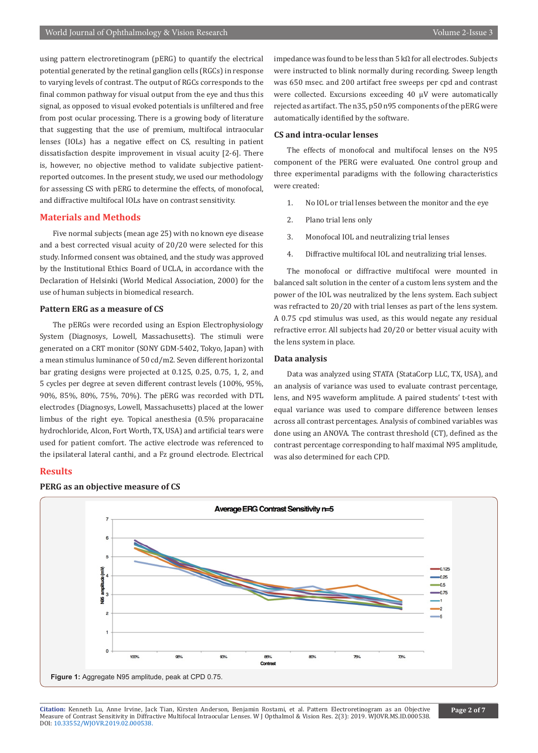using pattern electroretinogram (pERG) to quantify the electrical potential generated by the retinal ganglion cells (RGCs) in response to varying levels of contrast. The output of RGCs corresponds to the final common pathway for visual output from the eye and thus this signal, as opposed to visual evoked potentials is unfiltered and free from post ocular processing. There is a growing body of literature that suggesting that the use of premium, multifocal intraocular lenses (IOLs) has a negative effect on CS, resulting in patient dissatisfaction despite improvement in visual acuity [2-6]. There is, however, no objective method to validate subjective patientreported outcomes. In the present study, we used our methodology for assessing CS with pERG to determine the effects, of monofocal, and diffractive multifocal IOLs have on contrast sensitivity.

### **Materials and Methods**

Five normal subjects (mean age 25) with no known eye disease and a best corrected visual acuity of 20/20 were selected for this study. Informed consent was obtained, and the study was approved by the Institutional Ethics Board of UCLA, in accordance with the Declaration of Helsinki (World Medical Association, 2000) for the use of human subjects in biomedical research.

#### **Pattern ERG as a measure of CS**

The pERGs were recorded using an Espion Electrophysiology System (Diagnosys, Lowell, Massachusetts). The stimuli were generated on a CRT monitor (SONY GDM-5402, Tokyo, Japan) with a mean stimulus luminance of 50 cd/m2. Seven different horizontal bar grating designs were projected at 0.125, 0.25, 0.75, 1, 2, and 5 cycles per degree at seven different contrast levels (100%, 95%, 90%, 85%, 80%, 75%, 70%). The pERG was recorded with DTL electrodes (Diagnosys, Lowell, Massachusetts) placed at the lower limbus of the right eye. Topical anesthesia (0.5% proparacaine hydrochloride, Alcon, Fort Worth, TX, USA) and artificial tears were used for patient comfort. The active electrode was referenced to the ipsilateral lateral canthi, and a Fz ground electrode. Electrical

# **Results**



**PERG as an objective measure of CS**

impedance was found to be less than 5 kΩ for all electrodes. Subjects were instructed to blink normally during recording. Sweep length was 650 msec. and 200 artifact free sweeps per cpd and contrast were collected. Excursions exceeding 40 µV were automatically rejected as artifact. The n35, p50 n95 components of the pERG were automatically identified by the software.

#### **CS and intra-ocular lenses**

The effects of monofocal and multifocal lenses on the N95 component of the PERG were evaluated. One control group and three experimental paradigms with the following characteristics were created:

- 1. No IOL or trial lenses between the monitor and the eye
- 2. Plano trial lens only
- 3. Monofocal IOL and neutralizing trial lenses
- 4. Diffractive multifocal IOL and neutralizing trial lenses.

The monofocal or diffractive multifocal were mounted in balanced salt solution in the center of a custom lens system and the power of the IOL was neutralized by the lens system. Each subject was refracted to 20/20 with trial lenses as part of the lens system. A 0.75 cpd stimulus was used, as this would negate any residual refractive error. All subjects had 20/20 or better visual acuity with the lens system in place.

# **Data analysis**

Data was analyzed using STATA (StataCorp LLC, TX, USA), and an analysis of variance was used to evaluate contrast percentage, lens, and N95 waveform amplitude. A paired students' t-test with equal variance was used to compare difference between lenses across all contrast percentages. Analysis of combined variables was done using an ANOVA. The contrast threshold (CT), defined as the contrast percentage corresponding to half maximal N95 amplitude, was also determined for each CPD.

**Citation:** Kenneth Lu, Anne Irvine, Jack Tian, Kirsten Anderson, Benjamin Rostami, et al. Pattern Electroretinogram as an Objective Mea[sure of Contrast Sensitivity in Diffra](http://dx.doi.org/10.33552/WJOVR.2019.02.000538)ctive Multifocal Intraocular Lenses. W J Opthalmol & Vision Res. 2(3): 2019. WJOVR.MS.ID.000538. DOI: 10.33552/WJOVR.2019.02.000538.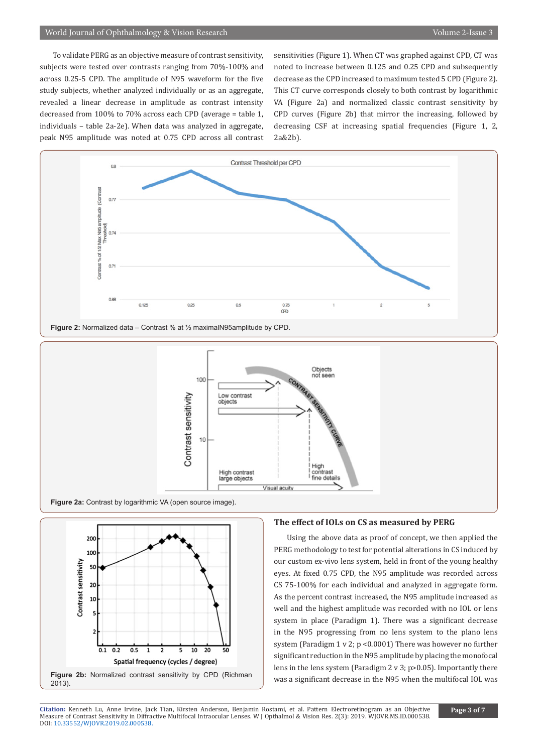To validate PERG as an objective measure of contrast sensitivity, subjects were tested over contrasts ranging from 70%-100% and across 0.25-5 CPD. The amplitude of N95 waveform for the five study subjects, whether analyzed individually or as an aggregate, revealed a linear decrease in amplitude as contrast intensity decreased from 100% to 70% across each CPD (average = table 1, individuals – table 2a-2e). When data was analyzed in aggregate, peak N95 amplitude was noted at 0.75 CPD across all contrast

sensitivities (Figure 1). When CT was graphed against CPD, CT was noted to increase between 0.125 and 0.25 CPD and subsequently decrease as the CPD increased to maximum tested 5 CPD (Figure 2). This CT curve corresponds closely to both contrast by logarithmic VA (Figure 2a) and normalized classic contrast sensitivity by CPD curves (Figure 2b) that mirror the increasing, followed by decreasing CSF at increasing spatial frequencies (Figure 1, 2, 2a&2b).







# **The effect of IOLs on CS as measured by PERG**

Using the above data as proof of concept, we then applied the PERG methodology to test for potential alterations in CS induced by our custom ex-vivo lens system, held in front of the young healthy eyes. At fixed 0.75 CPD, the N95 amplitude was recorded across CS 75-100% for each individual and analyzed in aggregate form. As the percent contrast increased, the N95 amplitude increased as well and the highest amplitude was recorded with no IOL or lens system in place (Paradigm 1). There was a significant decrease in the N95 progressing from no lens system to the plano lens system (Paradigm 1 v 2; p <0.0001) There was however no further significant reduction in the N95 amplitude by placing the monofocal lens in the lens system (Paradigm 2 v 3; p>0.05). Importantly there was a significant decrease in the N95 when the multifocal IOL was

**Citation:** Kenneth Lu, Anne Irvine, Jack Tian, Kirsten Anderson, Benjamin Rostami, et al. Pattern Electroretinogram as an Objective Mea[sure of Contrast Sensitivity in Diffra](http://dx.doi.org/10.33552/WJOVR.2019.02.000538)ctive Multifocal Intraocular Lenses. W J Opthalmol & Vision Res. 2(3): 2019. WJOVR.MS.ID.000538. DOI: 10.33552/WJOVR.2019.02.000538.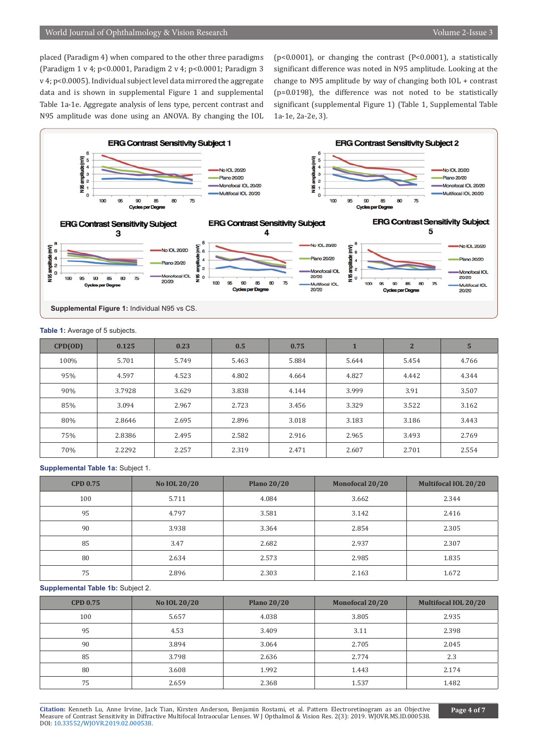placed (Paradigm 4) when compared to the other three paradigms (Paradigm 1 v 4; p<0.0001, Paradigm 2 v 4; p<0.0001; Paradigm 3 v 4; p<0.0005). Individual subject level data mirrored the aggregate data and is shown in supplemental Figure 1 and supplemental Table 1a-1e. Aggregate analysis of lens type, percent contrast and N95 amplitude was done using an ANOVA. By changing the IOL (p<0.0001), or changing the contrast (P<0.0001), a statistically significant difference was noted in N95 amplitude. Looking at the change to N95 amplitude by way of changing both IOL + contrast (p=0.0198), the difference was not noted to be statistically significant (supplemental Figure 1) (Table 1, Supplemental Table 1a-1e, 2a-2e, 3).



#### **Table 1:** Average of 5 subjects.

| CPD(OD) | 0.125  | 0.23  | 0.5   | 0.75  |       | $\overline{2}$ | 5     |
|---------|--------|-------|-------|-------|-------|----------------|-------|
| 100%    | 5.701  | 5.749 | 5.463 | 5.884 | 5.644 | 5.454          | 4.766 |
| 95%     | 4.597  | 4.523 | 4.802 | 4.664 | 4.827 | 4.442          | 4.344 |
| 90%     | 3.7928 | 3.629 | 3.838 | 4.144 | 3.999 | 3.91           | 3.507 |
| 85%     | 3.094  | 2.967 | 2.723 | 3.456 | 3.329 | 3.522          | 3.162 |
| 80%     | 2.8646 | 2.695 | 2.896 | 3.018 | 3.183 | 3.186          | 3.443 |
| 75%     | 2.8386 | 2.495 | 2.582 | 2.916 | 2.965 | 3.493          | 2.769 |
| 70%     | 2.2292 | 2.257 | 2.319 | 2.471 | 2.607 | 2.701          | 2.554 |

#### **Supplemental Table 1a:** Subject 1.

| <b>CPD 0.75</b> | No IOL 20/20 | <b>Plano 20/20</b> | Monofocal 20/20 | <b>Multifocal IOL 20/20</b> |
|-----------------|--------------|--------------------|-----------------|-----------------------------|
| 100             | 5.711        | 4.084              | 3.662           | 2.344                       |
| 95              | 4.797        | 3.581              | 3.142           | 2.416                       |
| 90              | 3.938        | 3.364              | 2.854           | 2.305                       |
| 85              | 3.47         | 2.682              | 2.937           | 2.307                       |
| 80              | 2.634        | 2.573              | 2.985           | 1.835                       |
| 75              | 2.896        | 2.303              | 2.163           | 1.672                       |

### **Supplemental Table 1b:** Subject 2.

| <b>CPD 0.75</b> | No IOL 20/20 | <b>Plano 20/20</b> | Monofocal 20/20 | <b>Multifocal IOL 20/20</b> |
|-----------------|--------------|--------------------|-----------------|-----------------------------|
| 100             | 5.657        | 4.038              | 3.805           | 2.935                       |
| 95              | 4.53         | 3.409              | 3.11            | 2.398                       |
| 90              | 3.894        | 3.064              | 2.705           | 2.045                       |
| 85              | 3.798        | 2.636              | 2.774           | 2.3                         |
| 80              | 3.608        | 1.992              | 1.443           | 2.174                       |
| 75              | 2.659        | 2.368              | 1.537           | 1.482                       |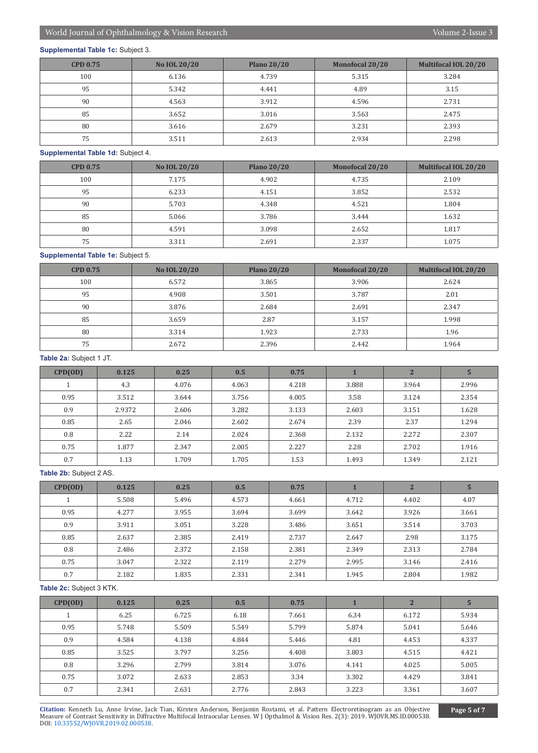# **Supplemental Table 1c:** Subject 3.

| <b>CPD 0.75</b> | No IOL 20/20 | <b>Plano 20/20</b> | Monofocal 20/20 | <b>Multifocal IOL 20/20</b> |
|-----------------|--------------|--------------------|-----------------|-----------------------------|
| 100             | 6.136        | 4.739              | 5.315           | 3.284                       |
| 95              | 5.342        | 4.441              | 4.89            | 3.15                        |
| 90              | 4.563        | 3.912              | 4.596           | 2.731                       |
| 85              | 3.652        | 3.016              | 3.563           | 2.475                       |
| 80              | 3.616        | 2.679              | 3.231           | 2.393                       |
| 75              | 3.511        | 2.613              | 2.934           | 2.298                       |

# **Supplemental Table 1d:** Subject 4.

| <b>CPD 0.75</b> | No IOL 20/20 | <b>Plano 20/20</b> | Monofocal 20/20 | Multifocal IOL 20/20 |
|-----------------|--------------|--------------------|-----------------|----------------------|
| 100             | 7.175        | 4.902              | 4.735           | 2.109                |
| 95              | 6.233        | 4.151              | 3.852           | 2.532                |
| 90              | 5.703        | 4.348              | 4.521           | 1.804                |
| 85              | 5.066        | 3.786              | 3.444           | 1.632                |
| 80              | 4.591        | 3.098              | 2.652           | 1.817                |
| 75              | 3.311        | 2.691              | 2.337           | 1.075                |

# **Supplemental Table 1e:** Subject 5.

| <b>CPD 0.75</b> | No IOL 20/20 | <b>Plano 20/20</b> | Monofocal 20/20 | <b>Multifocal IOL 20/20</b> |
|-----------------|--------------|--------------------|-----------------|-----------------------------|
| 100             | 6.572        | 3.865              | 3.906           | 2.624                       |
| 95              | 4.908        | 3.501              | 3.787           | 2.01                        |
| 90              | 3.876        | 2.684              | 2.691           | 2.347                       |
| 85              | 3.659        | 2.87               | 3.157           | 1.998                       |
| 80              | 3.314        | 1.923              | 2.733           | 1.96                        |
| 75              | 2.672        | 2.396              | 2.442           | 1.964                       |

# **Table 2a:** Subject 1 JT.

| CPD(OD) | 0.125  | 0.25  | 0.5   | 0.75  |       | $\overline{2}$ | $5\phantom{.}$ |
|---------|--------|-------|-------|-------|-------|----------------|----------------|
|         | 4.3    | 4.076 | 4.063 | 4.218 | 3.888 | 3.964          | 2.996          |
| 0.95    | 3.512  | 3.644 | 3.756 | 4.005 | 3.58  | 3.124          | 2.354          |
| 0.9     | 2.9372 | 2.606 | 3.282 | 3.133 | 2.603 | 3.151          | 1.628          |
| 0.85    | 2.65   | 2.046 | 2.602 | 2.674 | 2.39  | 2.37           | 1.294          |
| 0.8     | 2.22   | 2.14  | 2.024 | 2.368 | 2.132 | 2.272          | 2.307          |
| 0.75    | 1.877  | 2.347 | 2.005 | 2.227 | 2.28  | 2.702          | 1.916          |
| 0.7     | 1.13   | 1.709 | 1.705 | 1.53  | 1.493 | 1.349          | 2.121          |

# **Table 2b:** Subject 2 AS.

| CPD(OD) | 0.125 | 0.25  | 0.5   | 0.75  |       | $\overline{2}$ | 5     |
|---------|-------|-------|-------|-------|-------|----------------|-------|
|         | 5.508 | 5.496 | 4.573 | 4.661 | 4.712 | 4.402          | 4.07  |
| 0.95    | 4.277 | 3.955 | 3.694 | 3.699 | 3.642 | 3.926          | 3.661 |
| 0.9     | 3.911 | 3.051 | 3.228 | 3.486 | 3.651 | 3.514          | 3.703 |
| 0.85    | 2.637 | 2.385 | 2.419 | 2.737 | 2.647 | 2.98           | 3.175 |
| 0.8     | 2.486 | 2.372 | 2.158 | 2.381 | 2.349 | 2.313          | 2.784 |
| 0.75    | 3.047 | 2.322 | 2.119 | 2.279 | 2.995 | 3.146          | 2.416 |
| 0.7     | 2.182 | 1.835 | 2.331 | 2.341 | 1.945 | 2.804          | 1.982 |

# **Table 2c:** Subject 3 KTK.

| CPD(OD) | 0.125 | 0.25  | 0.5   | 0.75  |       | $\overline{2}$ | 5     |
|---------|-------|-------|-------|-------|-------|----------------|-------|
|         | 6.25  | 6.725 | 6.18  | 7.661 | 6.34  | 6.172          | 5.934 |
| 0.95    | 5.748 | 5.509 | 5.549 | 5.799 | 5.874 | 5.041          | 5.646 |
| 0.9     | 4.584 | 4.138 | 4.844 | 5.446 | 4.81  | 4.453          | 4.337 |
| 0.85    | 3.525 | 3.797 | 3.256 | 4.408 | 3.803 | 4.515          | 4.421 |
| 0.8     | 3.296 | 2.799 | 3.814 | 3.076 | 4.141 | 4.025          | 5.005 |
| 0.75    | 3.072 | 2.633 | 2.853 | 3.34  | 3.302 | 4.429          | 3.841 |
| 0.7     | 2.341 | 2.631 | 2.776 | 2.843 | 3.223 | 3.361          | 3.607 |

**Citation:** Kenneth Lu, Anne Irvine, Jack Tian, Kirsten Anderson, Benjamin Rostami, et al. Pattern Electroretinogram as an Objective Mea[sure of Contrast Sensitivity in Diffra](http://dx.doi.org/10.33552/WJOVR.2019.02.000538)ctive Multifocal Intraocular Lenses. W J Opthalmol & Vision Res. 2(3): 2019. WJOVR.MS.ID.000538. DOI: 10.33552/WJOVR.2019.02.000538.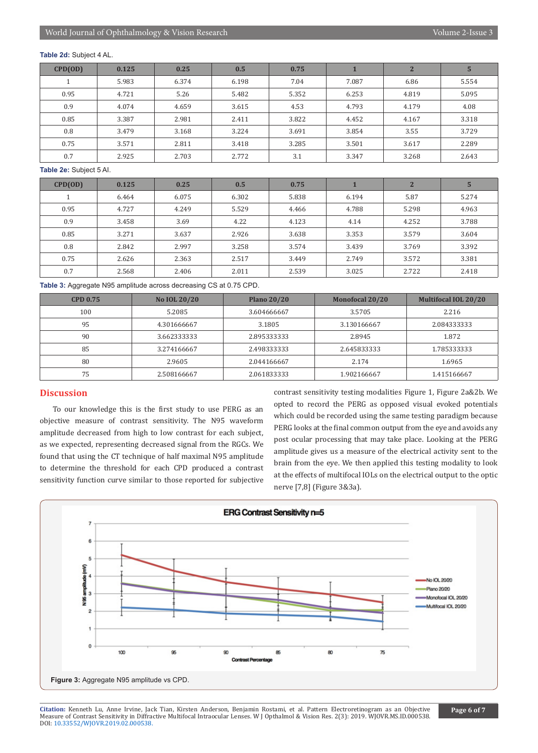#### **Table 2d:** Subject 4 AL.

| CPD(OD) | 0.125 | 0.25  | 0.5   | 0.75  |       | $\overline{2}$ | 5     |
|---------|-------|-------|-------|-------|-------|----------------|-------|
|         | 5.983 | 6.374 | 6.198 | 7.04  | 7.087 | 6.86           | 5.554 |
| 0.95    | 4.721 | 5.26  | 5.482 | 5.352 | 6.253 | 4.819          | 5.095 |
| 0.9     | 4.074 | 4.659 | 3.615 | 4.53  | 4.793 | 4.179          | 4.08  |
| 0.85    | 3.387 | 2.981 | 2.411 | 3.822 | 4.452 | 4.167          | 3.318 |
| 0.8     | 3.479 | 3.168 | 3.224 | 3.691 | 3.854 | 3.55           | 3.729 |
| 0.75    | 3.571 | 2.811 | 3.418 | 3.285 | 3.501 | 3.617          | 2.289 |
| 0.7     | 2.925 | 2.703 | 2.772 | 3.1   | 3.347 | 3.268          | 2.643 |

#### **Table 2e:** Subject 5 AI.

| CPD(OD) | 0.125 | 0.25  | 0.5   | 0.75  |       | $\overline{2}$ | 5     |
|---------|-------|-------|-------|-------|-------|----------------|-------|
|         | 6.464 | 6.075 | 6.302 | 5.838 | 6.194 | 5.87           | 5.274 |
| 0.95    | 4.727 | 4.249 | 5.529 | 4.466 | 4.788 | 5.298          | 4.963 |
| 0.9     | 3.458 | 3.69  | 4.22  | 4.123 | 4.14  | 4.252          | 3.788 |
| 0.85    | 3.271 | 3.637 | 2.926 | 3.638 | 3.353 | 3.579          | 3.604 |
| 0.8     | 2.842 | 2.997 | 3.258 | 3.574 | 3.439 | 3.769          | 3.392 |
| 0.75    | 2.626 | 2.363 | 2.517 | 3.449 | 2.749 | 3.572          | 3.381 |
| 0.7     | 2.568 | 2.406 | 2.011 | 2.539 | 3.025 | 2.722          | 2.418 |

**Table 3:** Aggregate N95 amplitude across decreasing CS at 0.75 CPD.

| <b>CPD 0.75</b> | No IOL 20/20 | <b>Plano 20/20</b> | <b>Monofocal 20/20</b> | <b>Multifocal IOL 20/20</b> |
|-----------------|--------------|--------------------|------------------------|-----------------------------|
| 100             | 5.2085       | 3.604666667        | 3.5705                 | 2.216                       |
| 95              | 4.301666667  | 3.1805             | 3.130166667            | 2.084333333                 |
| 90              | 3.662333333  | 2.895333333        | 2.8945                 | 1.872                       |
| 85              | 3.274166667  | 2.498333333        | 2.645833333            | 1.785333333                 |
| 80              | 2.9605       | 2.044166667        | 2.174                  | 1.6965                      |
| 75              | 2.508166667  | 2.061833333        | 1.902166667            | 1.415166667                 |

# **Discussion**

To our knowledge this is the first study to use PERG as an objective measure of contrast sensitivity. The N95 waveform amplitude decreased from high to low contrast for each subject, as we expected, representing decreased signal from the RGCs. We found that using the CT technique of half maximal N95 amplitude to determine the threshold for each CPD produced a contrast sensitivity function curve similar to those reported for subjective

contrast sensitivity testing modalities Figure 1, Figure 2a&2b. We opted to record the PERG as opposed visual evoked potentials which could be recorded using the same testing paradigm because PERG looks at the final common output from the eye and avoids any post ocular processing that may take place. Looking at the PERG amplitude gives us a measure of the electrical activity sent to the brain from the eye. We then applied this testing modality to look at the effects of multifocal IOLs on the electrical output to the optic nerve [7,8] (Figure 3&3a).



**Citation:** Kenneth Lu, Anne Irvine, Jack Tian, Kirsten Anderson, Benjamin Rostami, et al. Pattern Electroretinogram as an Objective Mea[sure of Contrast Sensitivity in Diffra](http://dx.doi.org/10.33552/WJOVR.2019.02.000538)ctive Multifocal Intraocular Lenses. W J Opthalmol & Vision Res. 2(3): 2019. WJOVR.MS.ID.000538. DOI: 10.33552/WJOVR.2019.02.000538.